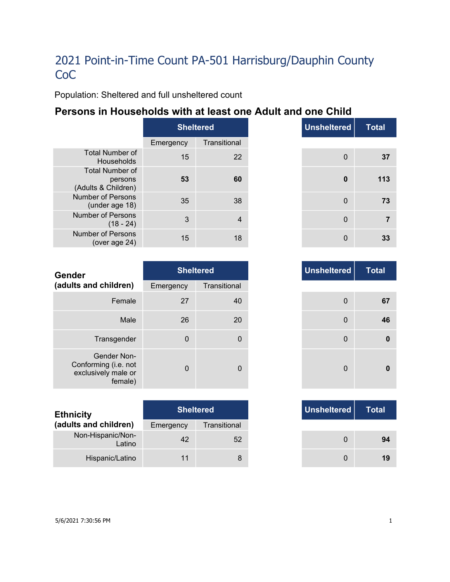Population: Sheltered and full unsheltered count

### **Persons in Households with at least one Adult and one Child**

|                                                          | <b>Sheltered</b> |              |
|----------------------------------------------------------|------------------|--------------|
|                                                          | Emergency        | Transitional |
| Total Number of<br>Households                            | 15               | 22           |
| <b>Total Number of</b><br>persons<br>(Adults & Children) | 53               | 60           |
| Number of Persons<br>(under age 18)                      | 35               | 38           |
| Number of Persons<br>$(18 - 24)$                         | 3                |              |
| Number of Persons<br>(over age 24)                       | 15               | 18           |

|     | <b>Sheltered</b> | <b>Unsheltered</b> |
|-----|------------------|--------------------|
| าcy | Transitional     |                    |
| 15  | 22               | $\mathbf 0$        |
| 53  | 60               | $\bf{0}$           |
| 35  | 38               | $\mathbf 0$        |
| 3   | 4                | $\mathbf 0$        |
| 15  | 18               | 0                  |

| <b>Gender</b>                                                         |             | <b>Sheltered</b> | <b>Unsheltered</b> |
|-----------------------------------------------------------------------|-------------|------------------|--------------------|
| (adults and children)                                                 | Emergency   | Transitional     |                    |
| Female                                                                | 27          | 40               | $\mathbf 0$        |
| Male                                                                  | 26          | 20               | $\Omega$           |
| Transgender                                                           | $\mathbf 0$ | 0                | $\mathbf 0$        |
| Gender Non-<br>Conforming (i.e. not<br>exclusively male or<br>female) | $\Omega$    | 0                | $\mathbf{0}$       |

| <b>Ethnicity</b>            |           | <b>Sheltered</b> | Unsheltered |
|-----------------------------|-----------|------------------|-------------|
| (adults and children)       | Emergency | Transitional     |             |
| Non-Hispanic/Non-<br>Latino | 42        | 52               |             |
| Hispanic/Latino             | 11        |                  |             |

| <b>Unsheltered</b> | <b>Sheltered</b> |          |
|--------------------|------------------|----------|
|                    | Transitional     | าcy      |
| 0                  | 40               | 27       |
| 0                  | 20               | 26       |
| $\mathbf 0$        | 0                | $\Omega$ |
| 0                  | $\mathbf{0}$     | $\Omega$ |

|     | <b>Sheltered</b> |
|-----|------------------|
| ٦cγ | Transitional     |
| 42  | 52               |
| 11  | 8                |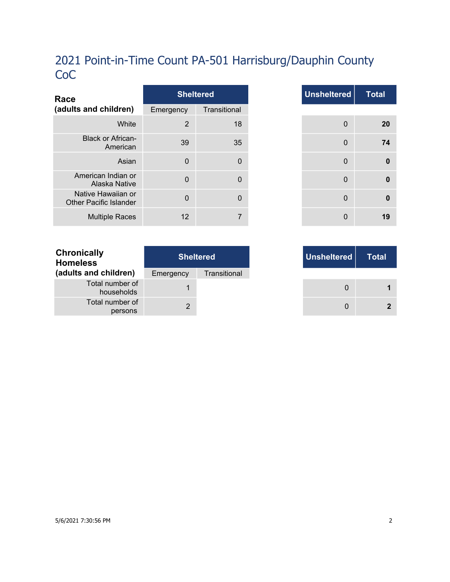| Race                                                |             | <b>Sheltered</b> |
|-----------------------------------------------------|-------------|------------------|
| (adults and children)                               | Emergency   | Transitional     |
| White                                               | 2           | 18               |
| <b>Black or African-</b><br>American                | 39          | 35               |
| Asian                                               | $\mathbf 0$ | $\Omega$         |
| American Indian or<br>Alaska Native                 | $\mathbf 0$ | $\Omega$         |
| Native Hawaiian or<br><b>Other Pacific Islander</b> | $\Omega$    | $\Omega$         |
| <b>Multiple Races</b>                               | 12          |                  |

| <b>Total</b> | <b>Unsheltered</b> | <b>Sheltered</b> |                |
|--------------|--------------------|------------------|----------------|
|              |                    | Transitional     | าcy            |
| 20           | 0                  | 18               | $\overline{2}$ |
| 74           | $\mathbf 0$        | 35               | 39             |
| 0            | $\mathbf 0$        | 0                | $\mathbf 0$    |
| $\bf{0}$     | $\mathbf 0$        | $\mathbf{0}$     | $\mathbf 0$    |
| $\bf{0}$     | 0                  | $\mathbf 0$      | $\mathbf 0$    |
| 19           | 0                  | 7                | 12             |

| <b>Sheltered</b> |              | Unsheltered |
|------------------|--------------|-------------|
|                  | Transitional |             |
|                  |              |             |
|                  |              |             |

| <b>Chronically</b><br><b>Homeless</b> | <b>Sheltered</b> |              |  |
|---------------------------------------|------------------|--------------|--|
| (adults and children)                 | Emergency        | Transitional |  |
| Total number of<br>households         |                  |              |  |
| Total number of<br>persons            | 2                |              |  |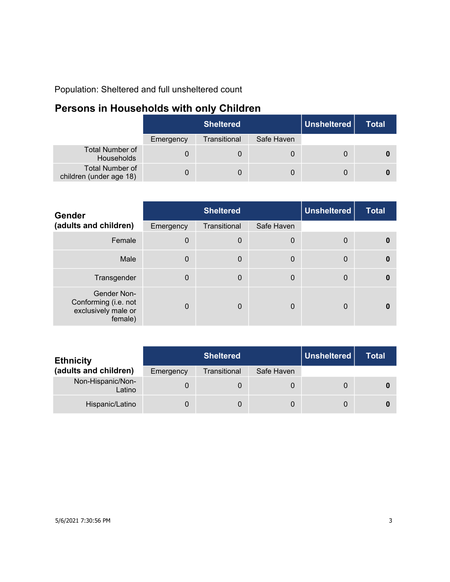Population: Sheltered and full unsheltered count

# **Persons in Households with only Children**

|                                                   | <b>Sheltered</b> |              |            | Unsheitered | <b>Total</b> |
|---------------------------------------------------|------------------|--------------|------------|-------------|--------------|
|                                                   | Emergency        | Transitional | Safe Haven |             |              |
| Total Number of<br><b>Households</b>              |                  |              |            |             |              |
| <b>Total Number of</b><br>children (under age 18) |                  | 0            | 0          |             |              |

| <b>Gender</b>                                                         | <b>Sheltered</b> |                  |             | <b>Unsheltered</b> | <b>Total</b> |
|-----------------------------------------------------------------------|------------------|------------------|-------------|--------------------|--------------|
| (adults and children)                                                 | Emergency        | Transitional     | Safe Haven  |                    |              |
| Female                                                                | $\Omega$         | $\boldsymbol{0}$ | 0           | 0                  | $\mathbf{0}$ |
| Male                                                                  | $\Omega$         | $\mathbf 0$      | $\mathbf 0$ | $\mathbf{0}$       | $\mathbf{0}$ |
| Transgender                                                           | $\Omega$         | $\mathbf 0$      | $\mathbf 0$ | 0                  | $\mathbf{0}$ |
| Gender Non-<br>Conforming (i.e. not<br>exclusively male or<br>female) | $\Omega$         | $\Omega$         | 0           | 0                  | 0            |

| <b>Ethnicity</b>            | <b>Sheltered</b> |              |            | Unsheltered | Total |
|-----------------------------|------------------|--------------|------------|-------------|-------|
| (adults and children)       | Emergency        | Transitional | Safe Haven |             |       |
| Non-Hispanic/Non-<br>Latino |                  | 0            | 0          |             |       |
| Hispanic/Latino             |                  | 0            | 0          |             |       |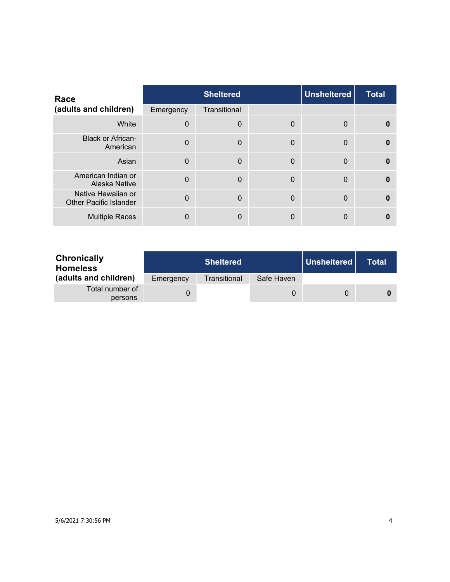| Race                                                |                | <b>Sheltered</b> |             | <b>Unsheltered</b> | <b>Total</b> |
|-----------------------------------------------------|----------------|------------------|-------------|--------------------|--------------|
| (adults and children)                               | Emergency      | Transitional     |             |                    |              |
| White                                               | $\Omega$       | $\mathbf 0$      | 0           | $\Omega$           | 0            |
| <b>Black or African-</b><br>American                | $\Omega$       | $\mathbf 0$      | $\mathbf 0$ | $\Omega$           | $\bf{0}$     |
| Asian                                               | $\Omega$       | $\mathbf 0$      | $\mathbf 0$ | $\overline{0}$     | $\Omega$     |
| American Indian or<br>Alaska Native                 | $\overline{0}$ | $\Omega$         | $\Omega$    | $\overline{0}$     | $\Omega$     |
| Native Hawaiian or<br><b>Other Pacific Islander</b> | $\Omega$       | $\Omega$         | $\Omega$    | $\Omega$           | $\Omega$     |
| <b>Multiple Races</b>                               | 0              | $\mathbf{0}$     | 0           | 0                  |              |

| <b>Chronically</b><br><b>Homeless</b> |           | <b>Sheltered</b> |            | Unsheltered | Total |
|---------------------------------------|-----------|------------------|------------|-------------|-------|
| (adults and children)                 | Emergency | Transitional     | Safe Haven |             |       |
| Total number of<br>persons            |           |                  | 0          | $\Omega$    |       |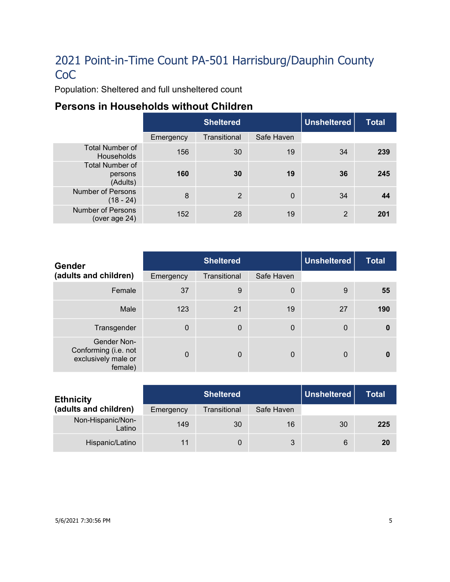Population: Sheltered and full unsheltered count

### **Persons in Households without Children**

|                                               | <b>Sheltered</b> |                |             | Unsheltered | <b>Total</b> |
|-----------------------------------------------|------------------|----------------|-------------|-------------|--------------|
|                                               | Emergency        | Transitional   | Safe Haven  |             |              |
| <b>Total Number of</b><br><b>Households</b>   | 156              | 30             | 19          | 34          | 239          |
| <b>Total Number of</b><br>persons<br>(Adults) | 160              | 30             | 19          | 36          | 245          |
| <b>Number of Persons</b><br>$(18 - 24)$       | 8                | $\overline{2}$ | $\mathbf 0$ | 34          | 44           |
| Number of Persons<br>(over age 24)            | 152              | 28             | 19          | 2           | 201          |

| <b>Gender</b>                                                         | <b>Sheltered</b> |              |             | <b>Unsheltered</b> | <b>Total</b> |
|-----------------------------------------------------------------------|------------------|--------------|-------------|--------------------|--------------|
| (adults and children)                                                 | Emergency        | Transitional | Safe Haven  |                    |              |
| Female                                                                | 37               | 9            | $\mathbf 0$ | 9                  | 55           |
| Male                                                                  | 123              | 21           | 19          | 27                 | 190          |
| Transgender                                                           | $\mathbf{0}$     | $\mathbf 0$  | $\mathbf 0$ | $\mathbf 0$        | $\bf{0}$     |
| Gender Non-<br>Conforming (i.e. not<br>exclusively male or<br>female) | $\Omega$         | $\mathbf 0$  | $\Omega$    | $\mathbf{0}$       | $\bf{0}$     |

| <b>Ethnicity</b>            | <b>Sheltered</b> |              |            | Unsheltered | <b>Total</b> |
|-----------------------------|------------------|--------------|------------|-------------|--------------|
| (adults and children)       | Emergency        | Transitional | Safe Haven |             |              |
| Non-Hispanic/Non-<br>Latino | 149              | 30           | 16         | 30          | 225          |
| Hispanic/Latino             | 11               |              | 3          | 6           | 20           |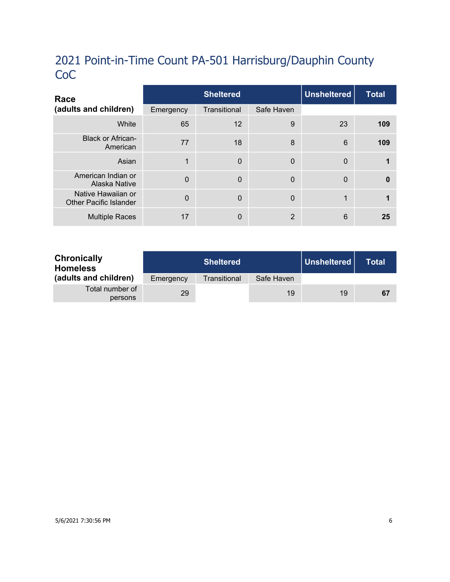| Race                                                |           | <b>Sheltered</b> |                |              | <b>Total</b> |
|-----------------------------------------------------|-----------|------------------|----------------|--------------|--------------|
| (adults and children)                               | Emergency | Transitional     | Safe Haven     |              |              |
| White                                               | 65        | 12               | 9              | 23           | 109          |
| <b>Black or African-</b><br>American                | 77        | 18               | 8              | 6            | 109          |
| Asian                                               | 1         | $\mathbf 0$      | $\mathbf 0$    | $\mathbf 0$  |              |
| American Indian or<br>Alaska Native                 | $\Omega$  | $\Omega$         | $\Omega$       | $\mathbf{0}$ | $\mathbf{0}$ |
| Native Hawaiian or<br><b>Other Pacific Islander</b> | $\Omega$  | $\Omega$         | $\Omega$       | 1            |              |
| <b>Multiple Races</b>                               | 17        | $\mathbf{0}$     | $\overline{2}$ | 6            | 25           |

| <b>Chronically</b><br><b>Homeless</b> |           | <b>Sheltered</b> |            | Unsheltered | <b>Total</b> |
|---------------------------------------|-----------|------------------|------------|-------------|--------------|
| (adults and children)                 | Emergency | Transitional     | Safe Haven |             |              |
| Total number of<br>persons            | 29        |                  | 19         | 19          | 67           |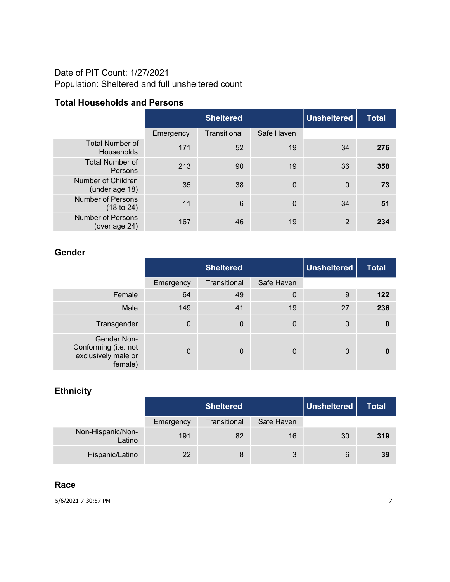#### Date of PIT Count: 1/27/2021 Population: Sheltered and full unsheltered count

#### **Total Households and Persons**

|                                             | <b>Sheltered</b> |              |                | <b>Unsheltered</b> | <b>Total</b> |
|---------------------------------------------|------------------|--------------|----------------|--------------------|--------------|
|                                             | Emergency        | Transitional | Safe Haven     |                    |              |
| <b>Total Number of</b><br><b>Households</b> | 171              | 52           | 19             | 34                 | 276          |
| <b>Total Number of</b><br>Persons           | 213              | 90           | 19             | 36                 | 358          |
| Number of Children<br>(under age 18)        | 35               | 38           | $\overline{0}$ | $\mathbf 0$        | 73           |
| <b>Number of Persons</b><br>(18 to 24)      | 11               | 6            | $\mathbf 0$    | 34                 | 51           |
| <b>Number of Persons</b><br>(over age 24)   | 167              | 46           | 19             | 2                  | 234          |

#### **Gender**

|                                                                       | <b>Sheltered</b> |              |                  | <b>Unsheltered</b> | <b>Total</b> |
|-----------------------------------------------------------------------|------------------|--------------|------------------|--------------------|--------------|
|                                                                       | Emergency        | Transitional | Safe Haven       |                    |              |
| Female                                                                | 64               | 49           | $\boldsymbol{0}$ | 9                  | 122          |
| Male                                                                  | 149              | 41           | 19               | 27                 | 236          |
| Transgender                                                           | 0                | $\mathbf 0$  | 0                | $\boldsymbol{0}$   | 0            |
| Gender Non-<br>Conforming (i.e. not<br>exclusively male or<br>female) | $\Omega$         | $\mathbf 0$  | 0                | 0                  |              |

### **Ethnicity**

|                             | <b>Sheltered</b> |              |            | Unsheltered | <b>Total</b> |
|-----------------------------|------------------|--------------|------------|-------------|--------------|
|                             | Emergency        | Transitional | Safe Haven |             |              |
| Non-Hispanic/Non-<br>Latino | 191              | 82           | 16         | 30          | 319          |
| Hispanic/Latino             | 22               | 8            | 3          | 6           | 39           |

#### **Race**

5/6/2021 7:30:57 PM 7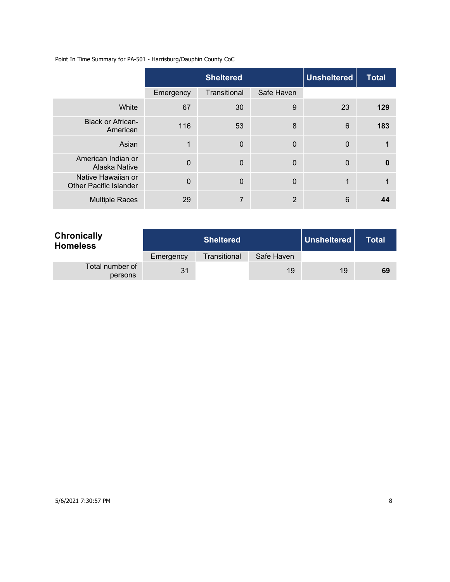Point In Time Summary for PA-501 - Harrisburg/Dauphin County CoC

|                                                     |                | <b>Sheltered</b> | <b>Unsheltered</b> | <b>Total</b> |     |
|-----------------------------------------------------|----------------|------------------|--------------------|--------------|-----|
|                                                     | Emergency      | Transitional     | Safe Haven         |              |     |
| White                                               | 67             | 30               | 9                  | 23           | 129 |
| <b>Black or African-</b><br>American                | 116            | 53               | 8                  | 6            | 183 |
| Asian                                               | 1              | $\Omega$         | $\mathbf 0$        | $\mathbf 0$  |     |
| American Indian or<br>Alaska Native                 | $\overline{0}$ | $\overline{0}$   | $\mathbf 0$        | $\mathbf 0$  | 0   |
| Native Hawaiian or<br><b>Other Pacific Islander</b> | $\overline{0}$ | $\Omega$         | $\overline{0}$     | $\mathbf 1$  |     |
| <b>Multiple Races</b>                               | 29             | 7                | $\overline{2}$     | 6            | 44  |

| <b>Chronically</b><br><b>Homeless</b> | <b>Sheltered</b> |              |            | Unsheltered | <b>Total</b> |
|---------------------------------------|------------------|--------------|------------|-------------|--------------|
|                                       | Emergency        | Transitional | Safe Haven |             |              |
| Total number of<br>persons            | 31               |              | 19         | 19          | 69           |